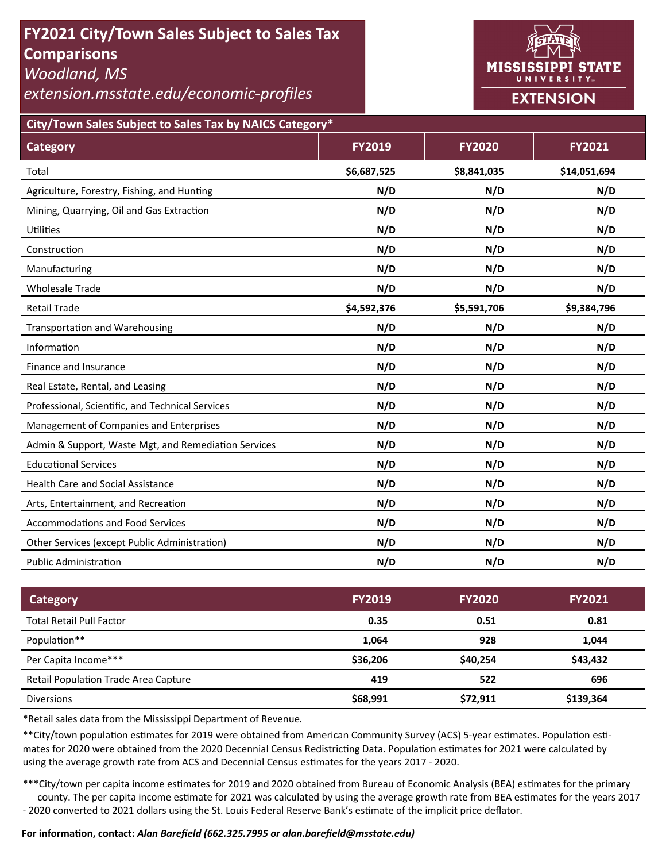# **FY2021 City/Town Sales Subject to Sales Tax Comparisons**

*Woodland, MS* 

*extension.msstate.edu/economic‐profiles* 



**City/Town Sales Subject to Sales Tax by NAICS Category\***

| <b>Category</b>                                      | <b>FY2019</b> | <b>FY2020</b> | FY2021       |
|------------------------------------------------------|---------------|---------------|--------------|
| Total                                                | \$6,687,525   | \$8,841,035   | \$14,051,694 |
| Agriculture, Forestry, Fishing, and Hunting          | N/D           | N/D           | N/D          |
| Mining, Quarrying, Oil and Gas Extraction            | N/D           | N/D           | N/D          |
| Utilities                                            | N/D           | N/D           | N/D          |
| Construction                                         | N/D           | N/D           | N/D          |
| Manufacturing                                        | N/D           | N/D           | N/D          |
| <b>Wholesale Trade</b>                               | N/D           | N/D           | N/D          |
| <b>Retail Trade</b>                                  | \$4,592,376   | \$5,591,706   | \$9,384,796  |
| <b>Transportation and Warehousing</b>                | N/D           | N/D           | N/D          |
| Information                                          | N/D           | N/D           | N/D          |
| Finance and Insurance                                | N/D           | N/D           | N/D          |
| Real Estate, Rental, and Leasing                     | N/D           | N/D           | N/D          |
| Professional, Scientific, and Technical Services     | N/D           | N/D           | N/D          |
| Management of Companies and Enterprises              | N/D           | N/D           | N/D          |
| Admin & Support, Waste Mgt, and Remediation Services | N/D           | N/D           | N/D          |
| <b>Educational Services</b>                          | N/D           | N/D           | N/D          |
| <b>Health Care and Social Assistance</b>             | N/D           | N/D           | N/D          |
| Arts, Entertainment, and Recreation                  | N/D           | N/D           | N/D          |
| <b>Accommodations and Food Services</b>              | N/D           | N/D           | N/D          |
| Other Services (except Public Administration)        | N/D           | N/D           | N/D          |
| <b>Public Administration</b>                         | N/D           | N/D           | N/D          |

| <b>Category</b>                      | <b>FY2019</b> | <b>FY2020</b> | <b>FY2021</b> |
|--------------------------------------|---------------|---------------|---------------|
| <b>Total Retail Pull Factor</b>      | 0.35          | 0.51          | 0.81          |
| Population**                         | 1,064         | 928           | 1,044         |
| Per Capita Income***                 | \$36,206      | \$40,254      | \$43,432      |
| Retail Population Trade Area Capture | 419           | 522           | 696           |
| <b>Diversions</b>                    | \$68,991      | \$72,911      | \$139,364     |

\*Retail sales data from the Mississippi Department of Revenue*.* 

\*\*City/town population estimates for 2019 were obtained from American Community Survey (ACS) 5-year estimates. Population estimates for 2020 were obtained from the 2020 Decennial Census Redistricting Data. Population estimates for 2021 were calculated by using the average growth rate from ACS and Decennial Census estimates for the years 2017 - 2020.

\*\*\*City/town per capita income estimates for 2019 and 2020 obtained from Bureau of Economic Analysis (BEA) estimates for the primary county. The per capita income estimate for 2021 was calculated by using the average growth rate from BEA estimates for the years 2017 - 2020 converted to 2021 dollars using the St. Louis Federal Reserve Bank's estimate of the implicit price deflator.

#### **For informaƟon, contact:** *Alan Barefield (662.325.7995 or alan.barefield@msstate.edu)*